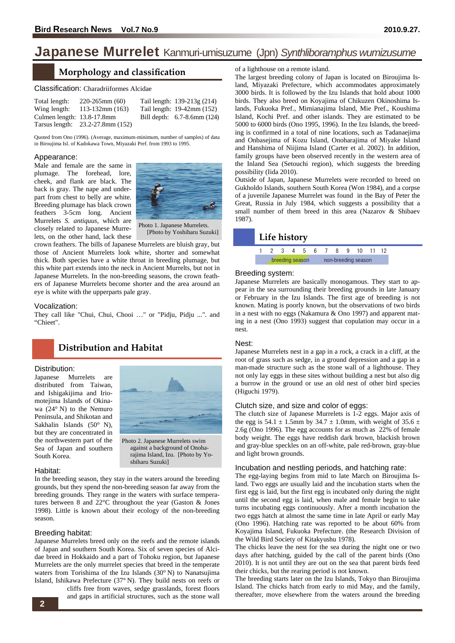# Japanese Murrelet Kanmuri-umisuzume (Jpn) Synthliboramphus wumizusume

# **Morphology and classification**

#### Classification: Charadriiformes Alcidae

| Total length:              | $220-265$ mm $(60)$              | Tail length: 139-213g (214) |
|----------------------------|----------------------------------|-----------------------------|
| Wing length:               | $113-132$ mm $(163)$             | Tail length: 19-42mm (152)  |
| Culmen length: 13.8-17.8mm |                                  | Bill depth: 6.7-8.6mm (124) |
|                            | Tarsus length: 23.2-27.8mm (152) |                             |

Quoted from Ono (1996). (Average, maximum-minimum, number of samples) of data in Biroujima Isl. of Kadokawa Town, Miyazaki Pref. from 1993 to 1995.

#### Appearance:

Male and female are the same in plumage. The forehead, lore, cheek, and flank are black. The back is gray. The nape and underpart from chest to belly are white. Breeding plumage has black crown feathers 3-5cm long. Ancient Murrelets *S. antiquus,* which are closely related to Japanese Murrelets, on the other hand, lack these



Photo 1. Japanese Murrelets. [Photo by Yoshiharu Suzuki]

crown feathers. The bills of Japanese Murrelets are bluish gray, but those of Ancient Murrelets look white, shorter and somewhat thick. Both species have a white throat in breeding plumage, but this white part extends into the neck in Ancient Murrelts, but not in Japanese Murrelets. In the non-breeding seasons, the crown feathers of Japanese Murrelets become shorter and the area around an eye is white with the upperparts pale gray. **Example the state of a religion and classification**<br> **2** of a lighting on a remote island.<br> **2** of a light of a result of a result of a result of a result of a result of a result of a result of a result of a result of a

#### Vocalization:

They call like "Chui, Chui, Chooi …" or "Pidju, Pidju ...". and "Chieet".

# **Distribution and Habitat**

#### Distribution:

Japanese Murrelets are distributed from Taiwan, and Ishigakijima and Iriomotejima Islands of Okinawa (24° N) to the Nemuro Peninsula, and Shikotan and Sakhalin Islands (50° N), but they are concentrated in the northwestern part of the Sea of Japan and southern South Korea.



against a background of Onoharajima Island, Izu. [Photo by Yo-

shiharu Suzuki]

#### Habitat:

In the breeding season, they stay in the waters around the breeding grounds, but they spend the non-breeding season far away from the breeding grounds. They range in the waters with surface temperatures between 8 and 22°C throughout the year (Gaston & Jones 1998). Little is known about their ecology of the non-breeding season.

#### Breeding habitat:

Japanese Murrelets breed only on the reefs and the remote islands of Japan and southern South Korea. Six of seven species of Alcidae breed in Hokkaido and a part of Tohoku region, but Japanese Murrelets are the only murrelet species that breed in the temperate waters from Torishima of the Izu Islands (30° N) to Nanatsujima Island, Ishikawa Prefecture (37° N). They build nests on reefs or

> cliffs free from waves, sedge grasslands, forest floors and gaps in artificial structures, such as the stone wall

The largest breeding colony of Japan is located on Biroujima Island, Miyazaki Prefecture, which accommodates approximately 3000 birds. It is followed by the Izu Islands that hold about 1000 birds. They also breed on Koyajima of Chikuzen Okinoshima Islands, Fukuoka Pref., Mimianajima Island, Mie Pref., Koushima Island, Kochi Pref. and other islands. They are estimated to be 5000 to 6000 birds (Ono 1995, 1996). In the Izu Islands, the breeding is confirmed in a total of nine locations, such as Tadanaejima and Onbasejima of Kozu Island, Onoharajima of Miyake Island and Hanshima of Niijima Island (Carter et al. 2002). In addition, family groups have been observed recently in the western area of the Inland Sea (Setouchi region), which suggests the breeding possibility (Iida 2010).

Outside of Japan, Japanese Murrelets were recorded to breed on Gukholdo Islands, southern South Korea (Won 1984), and a corpse of a juvenile Japanese Murrelet was found in the Bay of Peter the Great, Russia in July 1984, which suggests a possibility that a small number of them breed in this area (Nazarov & Shibaev 1987).

### **Life history**

# 1 2 345 6 7 8 9 10 11 12 breeding season on-breeding season

#### Breeding system:

Japanese Murrelets are basically monogamous. They start to appear in the sea surrounding their breeding grounds in late January or February in the Izu Islands. The first age of breeding is not known. Mating is poorly known, but the observations of two birds in a nest with no eggs (Nakamura & Ono 1997) and apparent mating in a nest (Ono 1993) suggest that copulation may occur in a nest.

#### Nest:

Japanese Murrelets nest in a gap in a rock, a crack in a cliff, at the root of grass such as sedge, in a ground depression and a gap in a man-made structure such as the stone wall of a lighthouse. They not only lay eggs in these sites without building a nest but also dig a burrow in the ground or use an old nest of other bird species (Higuchi 1979).

#### Clutch size, and size and color of eggs:

The clutch size of Japanese Murrelets is 1-2 eggs. Major axis of the egg is 54.1  $\pm$  1.5mm by 34.7  $\pm$  1.0mm, with weight of 35.6  $\pm$ 2.6g (Ono 1996). The egg accounts for as much as 22% of female body weight. The eggs have reddish dark brown, blackish brown and gray-blue speckles on an off-white, pale red-brown, gray-blue and light brown grounds.

#### Incubation and nestling periods, and hatching rate:

The egg-laying begins from mid to late March on Biroujima Island. Two eggs are usually laid and the incubation starts when the first egg is laid, but the first egg is incubated only during the night until the second egg is laid, when male and female begin to take turns incubating eggs continuously. After a month incubation the two eggs hatch at almost the same time in late April or early May (Ono 1996). Hatching rate was reported to be about 60% from Koyajima Island, Fukuoka Prefecture. (the Research Division of the Wild Bird Society of Kitakyushu 1978).

The chicks leave the nest for the sea during the night one or two days after hatching, guided by the call of the parent birds (Ono 2010). It is not until they are out on the sea that parent birds feed their chicks, but the rearing period is not known.

The breeding starts later on the Izu Islands, Tokyo than Biroujima Island. The chicks hatch from early to mid May, and the family, thereafter, move elsewhere from the waters around the breeding